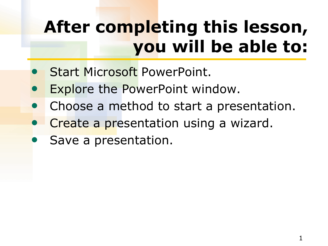# **After completing this lesson, you will be able to:**

- Start Microsoft PowerPoint.
- Explore the PowerPoint window.
- Choose a method to start a presentation.
- Create a presentation using a wizard.
- Save a presentation.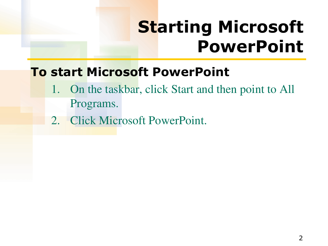## **Starting Microsoft PowerPoint**

### **To start Microsoft PowerPoint**

- 1. On the taskbar, click Start and then point to All Programs.
- 2. Click Microsoft PowerPoint.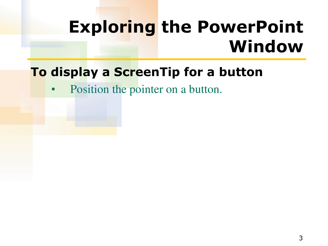## **Exploring the PowerPoint Window**

### **To display a ScreenTip for a button**

Position the pointer on a button.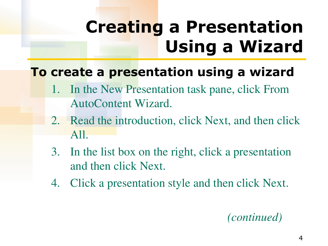# **Creating a Presentation Using a Wizard**

## **To create a presentation using a wizard**

- In the New Presentation task pane, click From AutoContent Wizard.
- 2. Read the introduction, click Next, and then click All.
- 3. In the list box on the right, click a presentation and then click Next.
- 4. Click a presentation style and then click Next.

### *(continued)*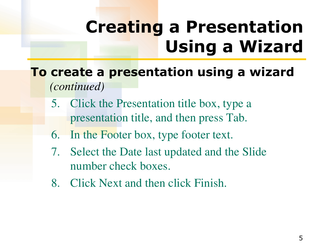# **Creating a Presentation Using a Wizard**

- **To create a presentation using a wizard**  *(continued)* 
	- 5. Click the Presentation title box, type a presentation title, and then press Tab.
	- 6. In the Footer box, type footer text.
	- 7. Select the Date last updated and the Slide number check boxes.
	- 8. Click Next and then click Finish.